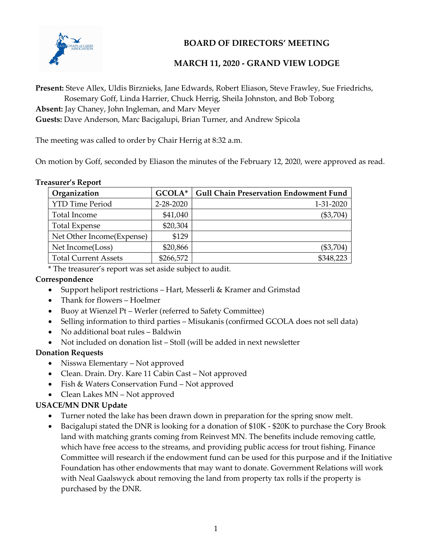

## BOARD OF DIRECTORS' MEETING

## MARCH 11, 2020 - GRAND VIEW LODGE

Present: Steve Allex, Uldis Birznieks, Jane Edwards, Robert Eliason, Steve Frawley, Sue Friedrichs, Rosemary Goff, Linda Harrier, Chuck Herrig, Sheila Johnston, and Bob Toborg

Absent: Jay Chaney, John Ingleman, and Marv Meyer

Guests: Dave Anderson, Marc Bacigalupi, Brian Turner, and Andrew Spicola

The meeting was called to order by Chair Herrig at 8:32 a.m.

On motion by Goff, seconded by Eliason the minutes of the February 12, 2020, were approved as read.

#### Treasurer's Report

| Organization                | GCOLA*    | <b>Gull Chain Preservation Endowment Fund</b> |
|-----------------------------|-----------|-----------------------------------------------|
| <b>YTD Time Period</b>      | 2-28-2020 | 1-31-2020                                     |
| Total Income                | \$41,040  | $(\$3,704)$                                   |
| <b>Total Expense</b>        | \$20,304  |                                               |
| Net Other Income(Expense)   | \$129     |                                               |
| Net Income(Loss)            | \$20,866  | $(\$3,704)$                                   |
| <b>Total Current Assets</b> | \$266,572 | \$348,223                                     |

\* The treasurer's report was set aside subject to audit.

#### Correspondence

- Support heliport restrictions Hart, Messerli & Kramer and Grimstad
- Thank for flowers Hoelmer
- Buoy at Wienzel Pt Werler (referred to Safety Committee)
- Selling information to third parties Misukanis (confirmed GCOLA does not sell data)
- No additional boat rules Baldwin
- Not included on donation list Stoll (will be added in next newsletter

#### Donation Requests

- Nisswa Elementary Not approved
- Clean. Drain. Dry. Kare 11 Cabin Cast Not approved
- Fish & Waters Conservation Fund Not approved
- Clean Lakes MN Not approved

#### USACE/MN DNR Update

- Turner noted the lake has been drawn down in preparation for the spring snow melt.
- Bacigalupi stated the DNR is looking for a donation of \$10K \$20K to purchase the Cory Brook land with matching grants coming from Reinvest MN. The benefits include removing cattle, which have free access to the streams, and providing public access for trout fishing. Finance Committee will research if the endowment fund can be used for this purpose and if the Initiative Foundation has other endowments that may want to donate. Government Relations will work with Neal Gaalswyck about removing the land from property tax rolls if the property is purchased by the DNR.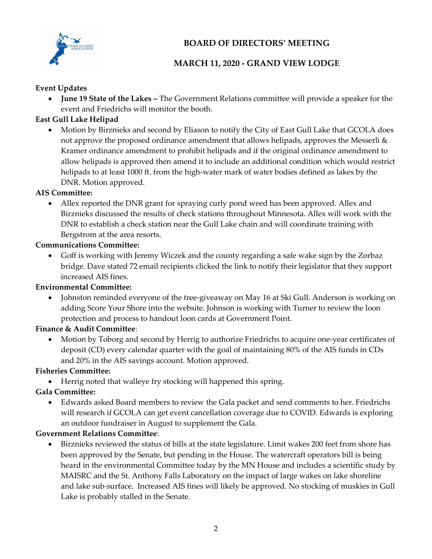

# BOARD OF DIRECTORS' MEETING

# MARCH 11, 2020 - GRAND VIEW LODGE

### Event Updates

 June 19 State of the Lakes – The Government Relations committee will provide a speaker for the event and Friedrichs will monitor the booth.

## East Gull Lake Helipad

 Motion by Birznieks and second by Eliason to notify the City of East Gull Lake that GCOLA does not approve the proposed ordinance amendment that allows helipads, approves the Messerli & Kramer ordinance amendment to prohibit helipads and if the original ordinance amendment to allow helipads is approved then amend it to include an additional condition which would restrict helipads to at least 1000 ft. from the high-water mark of water bodies defined as lakes by the DNR. Motion approved.

### AIS Committee:

 Allex reported the DNR grant for spraying curly pond weed has been approved. Allex and Birznieks discussed the results of check stations throughout Minnesota. Allex will work with the DNR to establish a check station near the Gull Lake chain and will coordinate training with Bergstrom at the area resorts.

### Communications Committee:

 Goff is working with Jeremy Wiczek and the county regarding a safe wake sign by the Zorbaz bridge. Dave stated 72 email recipients clicked the link to notify their legislator that they support increased AIS fines.

## Environmental Committee:

 Johnston reminded everyone of the tree-giveaway on May 16 at Ski Gull. Anderson is working on adding Score Your Shore into the website. Johnson is working with Turner to review the loon protection and process to handout loon cards at Government Point.

## Finance & Audit Committee:

 Motion by Toborg and second by Herrig to authorize Friedrichs to acquire one-year certificates of deposit (CD) every calendar quarter with the goal of maintaining 80% of the AIS funds in CDs and 20% in the AIS savings account. Motion approved.

#### Fisheries Committee:

Herrig noted that walleye fry stocking will happened this spring.

## Gala Committee:

 Edwards asked Board members to review the Gala packet and send comments to her. Friedrichs will research if GCOLA can get event cancellation coverage due to COVID. Edwards is exploring an outdoor fundraiser in August to supplement the Gala.

## Government Relations Committee:

 Birznieks reviewed the status of bills at the state legislature. Limit wakes 200 feet from shore has been approved by the Senate, but pending in the House. The watercraft operators bill is being heard in the environmental Committee today by the MN House and includes a scientific study by MAISRC and the St. Anthony Falls Laboratory on the impact of large wakes on lake shoreline and lake sub-surface. Increased AIS fines will likely be approved. No stocking of muskies in Gull Lake is probably stalled in the Senate.